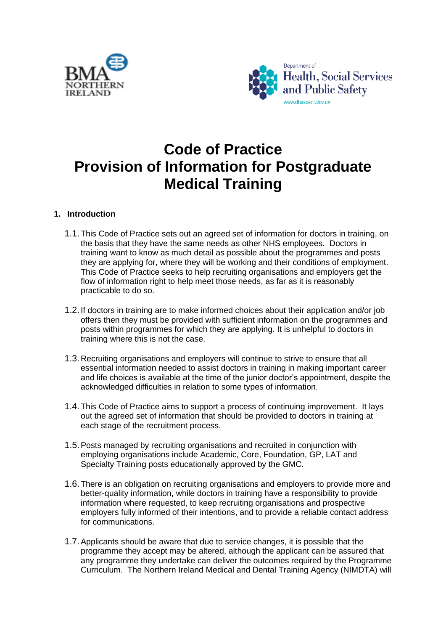



# **Code of Practice Provision of Information for Postgraduate Medical Training**

#### **1. Introduction**

- 1.1.This Code of Practice sets out an agreed set of information for doctors in training, on the basis that they have the same needs as other NHS employees. Doctors in training want to know as much detail as possible about the programmes and posts they are applying for, where they will be working and their conditions of employment. This Code of Practice seeks to help recruiting organisations and employers get the flow of information right to help meet those needs, as far as it is reasonably practicable to do so.
- 1.2.If doctors in training are to make informed choices about their application and/or job offers then they must be provided with sufficient information on the programmes and posts within programmes for which they are applying. It is unhelpful to doctors in training where this is not the case.
- 1.3.Recruiting organisations and employers will continue to strive to ensure that all essential information needed to assist doctors in training in making important career and life choices is available at the time of the junior doctor's appointment, despite the acknowledged difficulties in relation to some types of information.
- 1.4.This Code of Practice aims to support a process of continuing improvement. It lays out the agreed set of information that should be provided to doctors in training at each stage of the recruitment process.
- 1.5.Posts managed by recruiting organisations and recruited in conjunction with employing organisations include Academic, Core, Foundation, GP, LAT and Specialty Training posts educationally approved by the GMC.
- 1.6.There is an obligation on recruiting organisations and employers to provide more and better-quality information, while doctors in training have a responsibility to provide information where requested, to keep recruiting organisations and prospective employers fully informed of their intentions, and to provide a reliable contact address for communications.
- 1.7.Applicants should be aware that due to service changes, it is possible that the programme they accept may be altered, although the applicant can be assured that any programme they undertake can deliver the outcomes required by the Programme Curriculum. The Northern Ireland Medical and Dental Training Agency (NIMDTA) will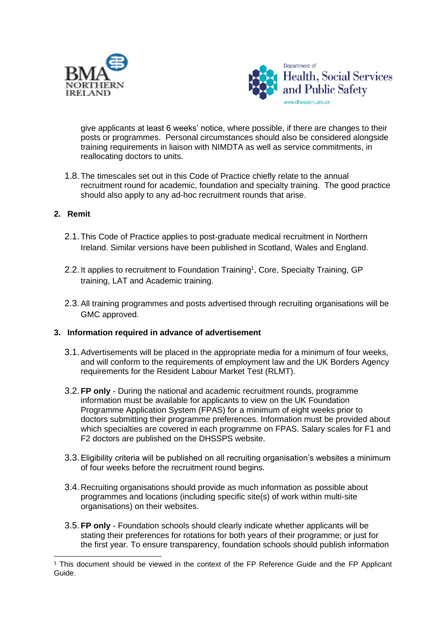



give applicants at least 6 weeks' notice, where possible, if there are changes to their posts or programmes. Personal circumstances should also be considered alongside training requirements in liaison with NIMDTA as well as service commitments, in reallocating doctors to units.

1.8.The timescales set out in this Code of Practice chiefly relate to the annual recruitment round for academic, foundation and specialty training. The good practice should also apply to any ad-hoc recruitment rounds that arise.

#### **2. Remit**

- 2.1.This Code of Practice applies to post-graduate medical recruitment in Northern Ireland. Similar versions have been published in Scotland, Wales and England.
- 2.2. It applies to recruitment to Foundation Training<sup>1</sup>, Core, Specialty Training, GP training, LAT and Academic training.
- 2.3.All training programmes and posts advertised through recruiting organisations will be GMC approved.

#### **3. Information required in advance of advertisement**

- 3.1.Advertisements will be placed in the appropriate media for a minimum of four weeks, and will conform to the requirements of employment law and the UK Borders Agency requirements for the Resident Labour Market Test (RLMT).
- 3.2.**FP only** During the national and academic recruitment rounds, programme information must be available for applicants to view on the UK Foundation Programme Application System (FPAS) for a minimum of eight weeks prior to doctors submitting their programme preferences. Information must be provided about which specialties are covered in each programme on FPAS. Salary scales for F1 and F2 doctors are published on the DHSSPS website.
- 3.3.Eligibility criteria will be published on all recruiting organisation's websites a minimum of four weeks before the recruitment round begins.
- 3.4.Recruiting organisations should provide as much information as possible about programmes and locations (including specific site(s) of work within multi-site organisations) on their websites.
- 3.5.**FP only** Foundation schools should clearly indicate whether applicants will be stating their preferences for rotations for both years of their programme; or just for the first year. To ensure transparency, foundation schools should publish information

<sup>1</sup> This document should be viewed in the context of the FP Reference Guide and the FP Applicant Guide.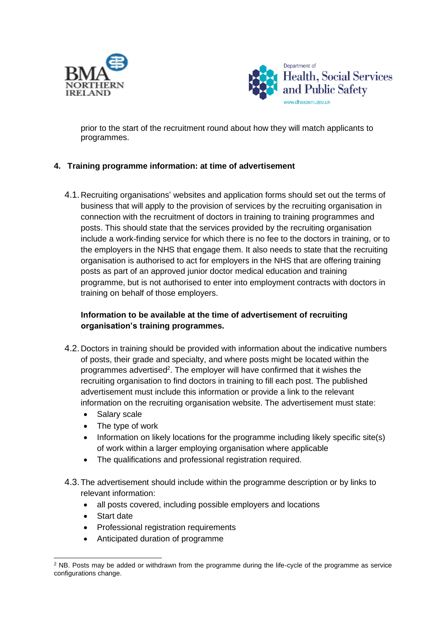



prior to the start of the recruitment round about how they will match applicants to programmes.

## **4. Training programme information: at time of advertisement**

4.1.Recruiting organisations' websites and application forms should set out the terms of business that will apply to the provision of services by the recruiting organisation in connection with the recruitment of doctors in training to training programmes and posts. This should state that the services provided by the recruiting organisation include a work-finding service for which there is no fee to the doctors in training, or to the employers in the NHS that engage them. It also needs to state that the recruiting organisation is authorised to act for employers in the NHS that are offering training posts as part of an approved junior doctor medical education and training programme, but is not authorised to enter into employment contracts with doctors in training on behalf of those employers.

## **Information to be available at the time of advertisement of recruiting organisation's training programmes.**

- 4.2.Doctors in training should be provided with information about the indicative numbers of posts, their grade and specialty, and where posts might be located within the programmes advertised<sup>2</sup>. The employer will have confirmed that it wishes the recruiting organisation to find doctors in training to fill each post. The published advertisement must include this information or provide a link to the relevant information on the recruiting organisation website. The advertisement must state:
	- Salary scale
	- The type of work
	- Information on likely locations for the programme including likely specific site(s) of work within a larger employing organisation where applicable
	- The qualifications and professional registration required.
- 4.3.The advertisement should include within the programme description or by links to relevant information:
	- all posts covered, including possible employers and locations
	- Start date
	- Professional registration requirements
	- Anticipated duration of programme

<sup>&</sup>lt;sup>2</sup> NB. Posts may be added or withdrawn from the programme during the life-cycle of the programme as service configurations change.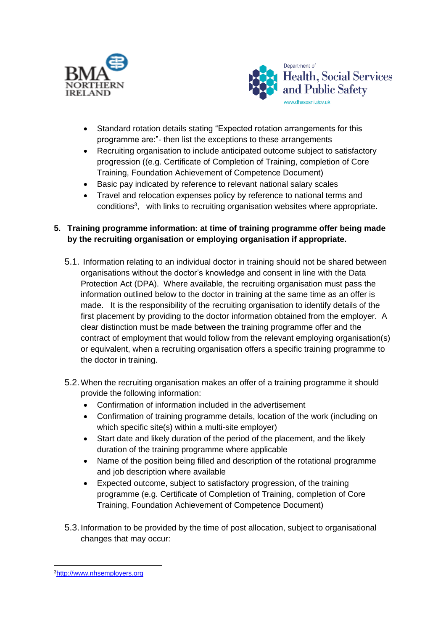



- Standard rotation details stating "Expected rotation arrangements for this programme are:"- then list the exceptions to these arrangements
- Recruiting organisation to include anticipated outcome subject to satisfactory progression ((e.g. Certificate of Completion of Training, completion of Core Training, Foundation Achievement of Competence Document)
- Basic pay indicated by reference to relevant national salary scales
- Travel and relocation expenses policy by reference to national terms and conditions<sup>3</sup> , with links to recruiting organisation websites where appropriate**.**

## **5. Training programme information: at time of training programme offer being made by the recruiting organisation or employing organisation if appropriate.**

- 5.1. Information relating to an individual doctor in training should not be shared between organisations without the doctor's knowledge and consent in line with the Data Protection Act (DPA). Where available, the recruiting organisation must pass the information outlined below to the doctor in training at the same time as an offer is made. It is the responsibility of the recruiting organisation to identify details of the first placement by providing to the doctor information obtained from the employer. A clear distinction must be made between the training programme offer and the contract of employment that would follow from the relevant employing organisation(s) or equivalent, when a recruiting organisation offers a specific training programme to the doctor in training.
- 5.2.When the recruiting organisation makes an offer of a training programme it should provide the following information:
	- Confirmation of information included in the advertisement
	- Confirmation of training programme details, location of the work (including on which specific site(s) within a multi-site employer)
	- Start date and likely duration of the period of the placement, and the likely duration of the training programme where applicable
	- Name of the position being filled and description of the rotational programme and job description where available
	- Expected outcome, subject to satisfactory progression, of the training programme (e.g. Certificate of Completion of Training, completion of Core Training, Foundation Achievement of Competence Document)
- 5.3.Information to be provided by the time of post allocation, subject to organisational changes that may occur:

<sup>3</sup>[http://www.nhsemployers.org](http://www.nhsemployers.org/payandcontracts/juniordoctorsdentistsgpreg/pages/juniordoctors-termsandconditions150908.aspx)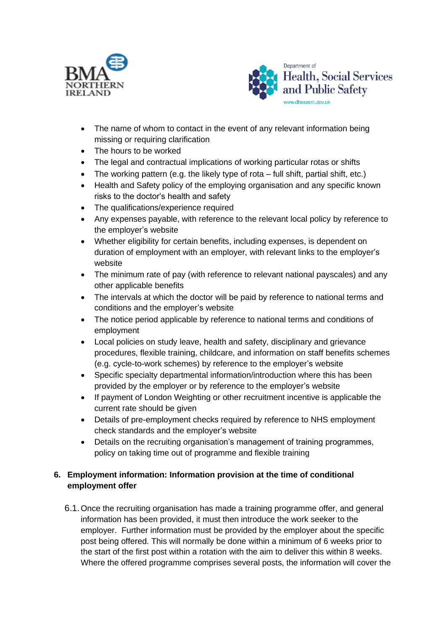



- The name of whom to contact in the event of any relevant information being missing or requiring clarification
- The hours to be worked
- The legal and contractual implications of working particular rotas or shifts
- The working pattern (e.g. the likely type of rota  $-$  full shift, partial shift, etc.)
- Health and Safety policy of the employing organisation and any specific known risks to the doctor's health and safety
- The qualifications/experience required
- Any expenses payable, with reference to the relevant local policy by reference to the employer's website
- Whether eligibility for certain benefits, including expenses, is dependent on duration of employment with an employer, with relevant links to the employer's website
- The minimum rate of pay (with reference to relevant national payscales) and any other applicable benefits
- The intervals at which the doctor will be paid by reference to national terms and conditions and the employer's website
- The notice period applicable by reference to national terms and conditions of employment
- Local policies on study leave, health and safety, disciplinary and grievance procedures, flexible training, childcare, and information on staff benefits schemes (e.g. cycle-to-work schemes) by reference to the employer's website
- Specific specialty departmental information/introduction where this has been provided by the employer or by reference to the employer's website
- If payment of London Weighting or other recruitment incentive is applicable the current rate should be given
- Details of pre-employment checks required by reference to NHS employment check standards and the employer's website
- Details on the recruiting organisation's management of training programmes, policy on taking time out of programme and flexible training

# **6. Employment information: Information provision at the time of conditional employment offer**

6.1.Once the recruiting organisation has made a training programme offer, and general information has been provided, it must then introduce the work seeker to the employer. Further information must be provided by the employer about the specific post being offered. This will normally be done within a minimum of 6 weeks prior to the start of the first post within a rotation with the aim to deliver this within 8 weeks. Where the offered programme comprises several posts, the information will cover the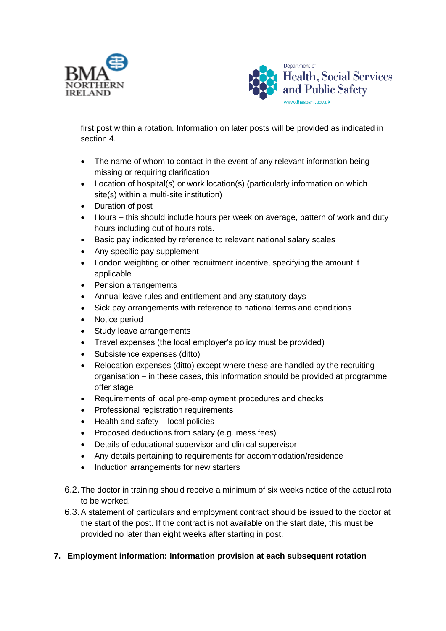



first post within a rotation. Information on later posts will be provided as indicated in section 4.

- The name of whom to contact in the event of any relevant information being missing or requiring clarification
- Location of hospital(s) or work location(s) (particularly information on which site(s) within a multi-site institution)
- Duration of post
- Hours this should include hours per week on average, pattern of work and duty hours including out of hours rota.
- Basic pay indicated by reference to relevant national salary scales
- Any specific pay supplement
- London weighting or other recruitment incentive, specifying the amount if applicable
- Pension arrangements
- Annual leave rules and entitlement and any statutory days
- Sick pay arrangements with reference to national terms and conditions
- Notice period
- Study leave arrangements
- Travel expenses (the local employer's policy must be provided)
- Subsistence expenses (ditto)
- Relocation expenses (ditto) except where these are handled by the recruiting organisation – in these cases, this information should be provided at programme offer stage
- Requirements of local pre-employment procedures and checks
- Professional registration requirements
- Health and safety local policies
- Proposed deductions from salary (e.g. mess fees)
- Details of educational supervisor and clinical supervisor
- Any details pertaining to requirements for accommodation/residence
- Induction arrangements for new starters
- 6.2.The doctor in training should receive a minimum of six weeks notice of the actual rota to be worked.
- 6.3.A statement of particulars and employment contract should be issued to the doctor at the start of the post. If the contract is not available on the start date, this must be provided no later than eight weeks after starting in post.

## **7. Employment information: Information provision at each subsequent rotation**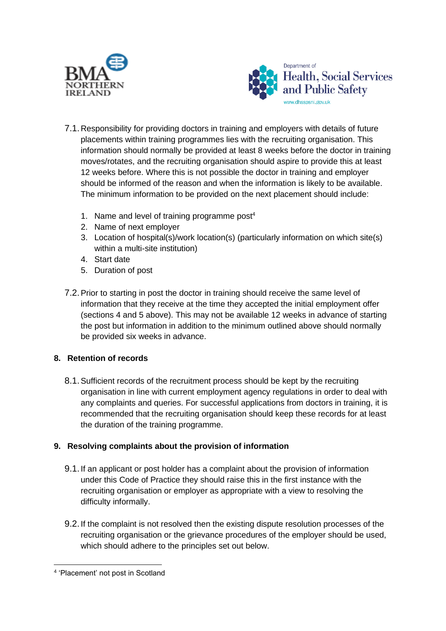



- 7.1.Responsibility for providing doctors in training and employers with details of future placements within training programmes lies with the recruiting organisation. This information should normally be provided at least 8 weeks before the doctor in training moves/rotates, and the recruiting organisation should aspire to provide this at least 12 weeks before. Where this is not possible the doctor in training and employer should be informed of the reason and when the information is likely to be available. The minimum information to be provided on the next placement should include:
	- 1. Name and level of training programme post<sup>4</sup>
	- 2. Name of next employer
	- 3. Location of hospital(s)/work location(s) (particularly information on which site(s) within a multi-site institution)
	- 4. Start date
	- 5. Duration of post
- 7.2.Prior to starting in post the doctor in training should receive the same level of information that they receive at the time they accepted the initial employment offer (sections 4 and 5 above). This may not be available 12 weeks in advance of starting the post but information in addition to the minimum outlined above should normally be provided six weeks in advance.

# **8. Retention of records**

8.1.Sufficient records of the recruitment process should be kept by the recruiting organisation in line with current employment agency regulations in order to deal with any complaints and queries. For successful applications from doctors in training, it is recommended that the recruiting organisation should keep these records for at least the duration of the training programme.

## **9. Resolving complaints about the provision of information**

- 9.1.If an applicant or post holder has a complaint about the provision of information under this Code of Practice they should raise this in the first instance with the recruiting organisation or employer as appropriate with a view to resolving the difficulty informally.
- 9.2.If the complaint is not resolved then the existing dispute resolution processes of the recruiting organisation or the grievance procedures of the employer should be used, which should adhere to the principles set out below.

<sup>4</sup> 'Placement' not post in Scotland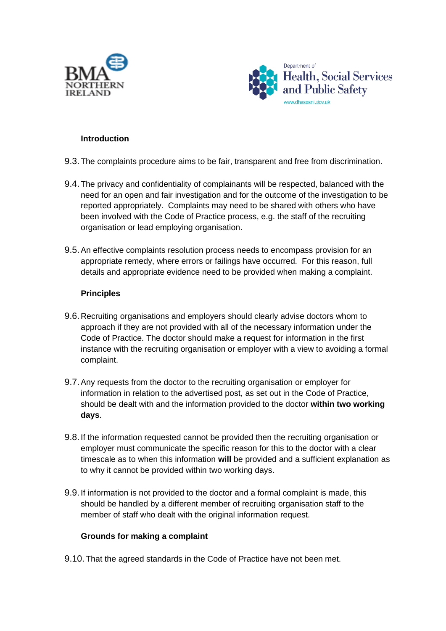



#### **Introduction**

- 9.3.The complaints procedure aims to be fair, transparent and free from discrimination.
- 9.4.The privacy and confidentiality of complainants will be respected, balanced with the need for an open and fair investigation and for the outcome of the investigation to be reported appropriately. Complaints may need to be shared with others who have been involved with the Code of Practice process, e.g. the staff of the recruiting organisation or lead employing organisation.
- 9.5.An effective complaints resolution process needs to encompass provision for an appropriate remedy, where errors or failings have occurred. For this reason, full details and appropriate evidence need to be provided when making a complaint.

#### **Principles**

- 9.6.Recruiting organisations and employers should clearly advise doctors whom to approach if they are not provided with all of the necessary information under the Code of Practice. The doctor should make a request for information in the first instance with the recruiting organisation or employer with a view to avoiding a formal complaint.
- 9.7.Any requests from the doctor to the recruiting organisation or employer for information in relation to the advertised post, as set out in the Code of Practice, should be dealt with and the information provided to the doctor **within two working days**.
- 9.8.If the information requested cannot be provided then the recruiting organisation or employer must communicate the specific reason for this to the doctor with a clear timescale as to when this information **will** be provided and a sufficient explanation as to why it cannot be provided within two working days.
- 9.9.If information is not provided to the doctor and a formal complaint is made, this should be handled by a different member of recruiting organisation staff to the member of staff who dealt with the original information request.

## **Grounds for making a complaint**

9.10. That the agreed standards in the Code of Practice have not been met.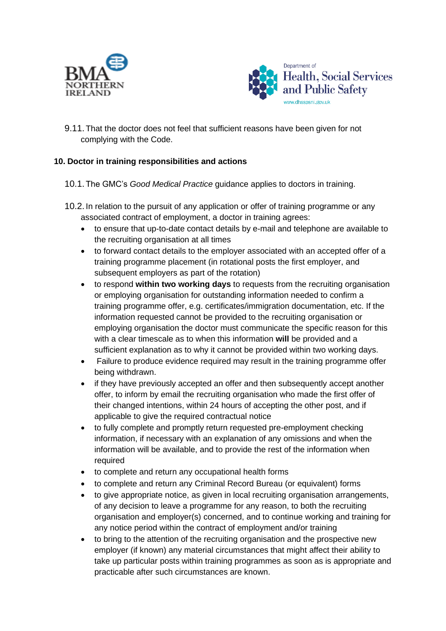



9.11. That the doctor does not feel that sufficient reasons have been given for not complying with the Code.

# **10. Doctor in training responsibilities and actions**

- 10.1. The GMC's *Good Medical Practice* guidance applies to doctors in training.
- 10.2. In relation to the pursuit of any application or offer of training programme or any associated contract of employment, a doctor in training agrees:
	- to ensure that up-to-date contact details by e-mail and telephone are available to the recruiting organisation at all times
	- to forward contact details to the employer associated with an accepted offer of a training programme placement (in rotational posts the first employer, and subsequent employers as part of the rotation)
	- to respond **within two working days** to requests from the recruiting organisation or employing organisation for outstanding information needed to confirm a training programme offer, e.g. certificates/immigration documentation, etc. If the information requested cannot be provided to the recruiting organisation or employing organisation the doctor must communicate the specific reason for this with a clear timescale as to when this information **will** be provided and a sufficient explanation as to why it cannot be provided within two working days.
	- Failure to produce evidence required may result in the training programme offer being withdrawn.
	- if they have previously accepted an offer and then subsequently accept another offer, to inform by email the recruiting organisation who made the first offer of their changed intentions, within 24 hours of accepting the other post, and if applicable to give the required contractual notice
	- to fully complete and promptly return requested pre-employment checking information, if necessary with an explanation of any omissions and when the information will be available, and to provide the rest of the information when required
	- to complete and return any occupational health forms
	- to complete and return any Criminal Record Bureau (or equivalent) forms
	- to give appropriate notice, as given in local recruiting organisation arrangements, of any decision to leave a programme for any reason, to both the recruiting organisation and employer(s) concerned, and to continue working and training for any notice period within the contract of employment and/or training
	- to bring to the attention of the recruiting organisation and the prospective new employer (if known) any material circumstances that might affect their ability to take up particular posts within training programmes as soon as is appropriate and practicable after such circumstances are known.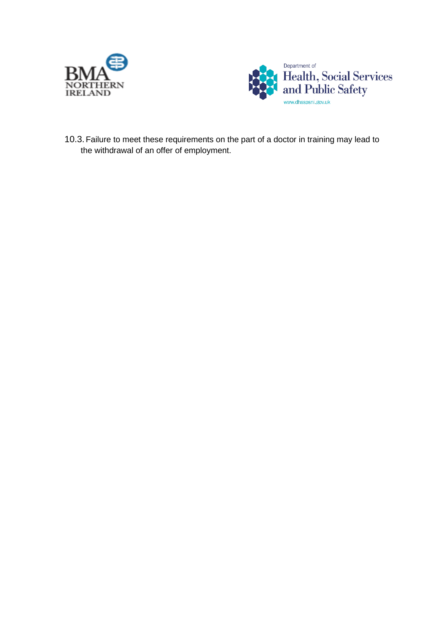



10.3. Failure to meet these requirements on the part of a doctor in training may lead to the withdrawal of an offer of employment.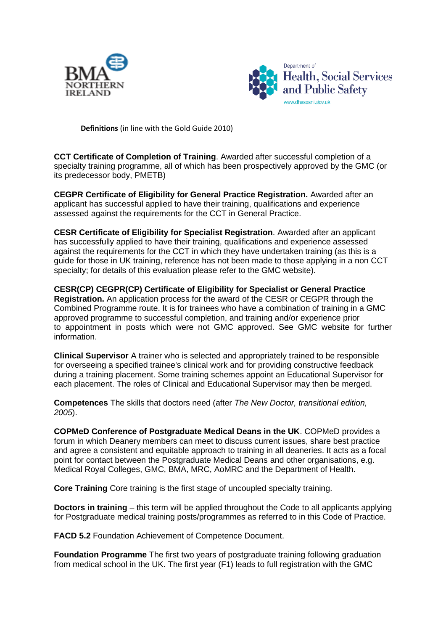



**Definitions** (in line with the Gold Guide 2010)

**CCT Certificate of Completion of Training**. Awarded after successful completion of a specialty training programme, all of which has been prospectively approved by the GMC (or its predecessor body, PMETB)

**CEGPR Certificate of Eligibility for General Practice Registration.** Awarded after an applicant has successful applied to have their training, qualifications and experience assessed against the requirements for the CCT in General Practice.

**CESR Certificate of Eligibility for Specialist Registration**. Awarded after an applicant has successfully applied to have their training, qualifications and experience assessed against the requirements for the CCT in which they have undertaken training (as this is a guide for those in UK training, reference has not been made to those applying in a non CCT specialty; for details of this evaluation please refer to the GMC website).

**CESR(CP) CEGPR(CP) Certificate of Eligibility for Specialist or General Practice Registration.** An application process for the award of the CESR or CEGPR through the Combined Programme route. It is for trainees who have a combination of training in a GMC approved programme to successful completion, and training and/or experience prior to appointment in posts which were not GMC approved. See GMC website for further information.

**Clinical Supervisor** A trainer who is selected and appropriately trained to be responsible for overseeing a specified trainee's clinical work and for providing constructive feedback during a training placement. Some training schemes appoint an Educational Supervisor for each placement. The roles of Clinical and Educational Supervisor may then be merged.

**Competences** The skills that doctors need (after *The New Doctor, transitional edition, 2005*).

**COPMeD Conference of Postgraduate Medical Deans in the UK**. COPMeD provides a forum in which Deanery members can meet to discuss current issues, share best practice and agree a consistent and equitable approach to training in all deaneries. It acts as a focal point for contact between the Postgraduate Medical Deans and other organisations, e.g. Medical Royal Colleges, GMC, BMA, MRC, AoMRC and the Department of Health.

**Core Training** Core training is the first stage of uncoupled specialty training.

**Doctors in training** – this term will be applied throughout the Code to all applicants applying for Postgraduate medical training posts/programmes as referred to in this Code of Practice.

**FACD 5.2** Foundation Achievement of Competence Document.

**Foundation Programme** The first two years of postgraduate training following graduation from medical school in the UK. The first year (F1) leads to full registration with the GMC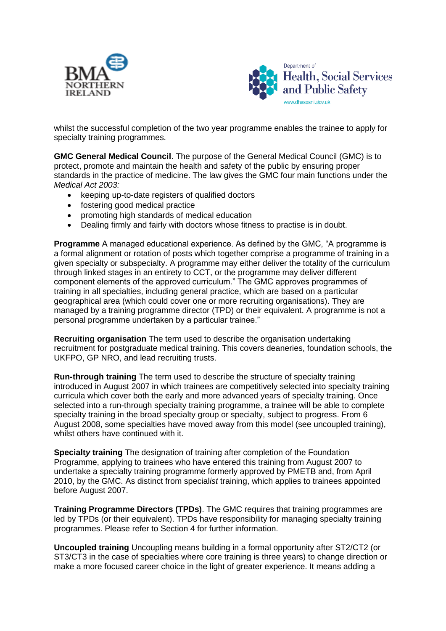



whilst the successful completion of the two year programme enables the trainee to apply for specialty training programmes.

**GMC General Medical Council**. The purpose of the General Medical Council (GMC) is to protect, promote and maintain the health and safety of the public by ensuring proper standards in the practice of medicine. The law gives the GMC four main functions under the *Medical Act 2003:*

- keeping up-to-date registers of qualified doctors
- fostering good medical practice
- promoting high standards of medical education
- Dealing firmly and fairly with doctors whose fitness to practise is in doubt.

**Programme** A managed educational experience. As defined by the GMC, "A programme is a formal alignment or rotation of posts which together comprise a programme of training in a given specialty or subspecialty. A programme may either deliver the totality of the curriculum through linked stages in an entirety to CCT, or the programme may deliver different component elements of the approved curriculum." The GMC approves programmes of training in all specialties, including general practice, which are based on a particular geographical area (which could cover one or more recruiting organisations). They are managed by a training programme director (TPD) or their equivalent. A programme is not a personal programme undertaken by a particular trainee."

**Recruiting organisation** The term used to describe the organisation undertaking recruitment for postgraduate medical training. This covers deaneries, foundation schools, the UKFPO, GP NRO, and lead recruiting trusts.

**Run-through training** The term used to describe the structure of specialty training introduced in August 2007 in which trainees are competitively selected into specialty training curricula which cover both the early and more advanced years of specialty training. Once selected into a run-through specialty training programme, a trainee will be able to complete specialty training in the broad specialty group or specialty, subject to progress. From 6 August 2008, some specialties have moved away from this model (see uncoupled training), whilst others have continued with it.

**Specialt***y* **training** The designation of training after completion of the Foundation Programme, applying to trainees who have entered this training from August 2007 to undertake a specialty training programme formerly approved by PMETB and, from April 2010, by the GMC. As distinct from special*ist* training, which applies to trainees appointed before August 2007.

**Training Programme Directors (TPDs)**. The GMC requires that training programmes are led by TPDs (or their equivalent). TPDs have responsibility for managing specialty training programmes. Please refer to Section 4 for further information.

**Uncoupled training** Uncoupling means building in a formal opportunity after ST2/CT2 (or ST3/CT3 in the case of specialties where core training is three years) to change direction or make a more focused career choice in the light of greater experience. It means adding a